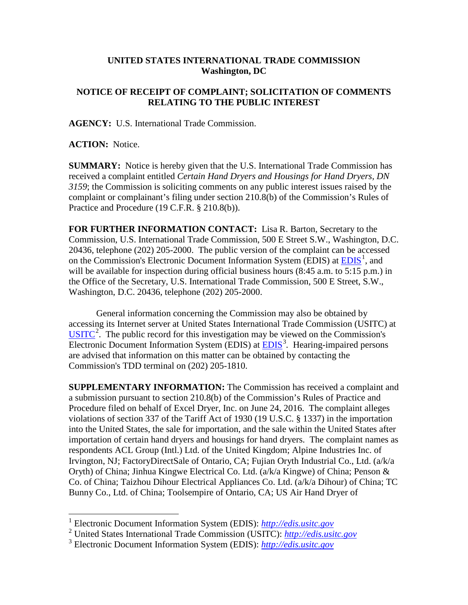## **UNITED STATES INTERNATIONAL TRADE COMMISSION Washington, DC**

## **NOTICE OF RECEIPT OF COMPLAINT; SOLICITATION OF COMMENTS RELATING TO THE PUBLIC INTEREST**

**AGENCY:** U.S. International Trade Commission.

**ACTION:** Notice.

**SUMMARY:** Notice is hereby given that the U.S. International Trade Commission has received a complaint entitled *Certain Hand Dryers and Housings for Hand Dryers, DN 3159*; the Commission is soliciting comments on any public interest issues raised by the complaint or complainant's filing under section 210.8(b) of the Commission's Rules of Practice and Procedure (19 C.F.R. § 210.8(b)).

**FOR FURTHER INFORMATION CONTACT:** Lisa R. Barton, Secretary to the Commission, U.S. International Trade Commission, 500 E Street S.W., Washington, D.C. 20436, telephone (202) 205-2000. The public version of the complaint can be accessed on the Commission's Electronic Document Information System (EDIS) at  $\underline{EDIS}^1$  $\underline{EDIS}^1$ , and will be available for inspection during official business hours (8:45 a.m. to 5:15 p.m.) in the Office of the Secretary, U.S. International Trade Commission, 500 E Street, S.W., Washington, D.C. 20436, telephone (202) 205-2000.

General information concerning the Commission may also be obtained by accessing its Internet server at United States International Trade Commission (USITC) at  $\overline{\text{USITC}}^2$  $\overline{\text{USITC}}^2$  $\overline{\text{USITC}}^2$  $\overline{\text{USITC}}^2$ . The public record for this investigation may be viewed on the Commission's Electronic Document Information System (EDIS) at **EDIS**<sup>[3](#page-0-2)</sup>. Hearing-impaired persons are advised that information on this matter can be obtained by contacting the Commission's TDD terminal on (202) 205-1810.

**SUPPLEMENTARY INFORMATION:** The Commission has received a complaint and a submission pursuant to section 210.8(b) of the Commission's Rules of Practice and Procedure filed on behalf of Excel Dryer, Inc. on June 24, 2016. The complaint alleges violations of section 337 of the Tariff Act of 1930 (19 U.S.C. § 1337) in the importation into the United States, the sale for importation, and the sale within the United States after importation of certain hand dryers and housings for hand dryers. The complaint names as respondents ACL Group (Intl.) Ltd. of the United Kingdom; Alpine Industries Inc. of Irvington, NJ; FactoryDirectSale of Ontario, CA; Fujian Oryth Industrial Co., Ltd. (a/k/a Oryth) of China; Jinhua Kingwe Electrical Co. Ltd. (a/k/a Kingwe) of China; Penson & Co. of China; Taizhou Dihour Electrical Appliances Co. Ltd. (a/k/a Dihour) of China; TC Bunny Co., Ltd. of China; Toolsempire of Ontario, CA; US Air Hand Dryer of

 <sup>1</sup> Electronic Document Information System (EDIS): *[http://edis.usitc.gov](http://edis.usitc.gov/)*

<span id="page-0-1"></span><span id="page-0-0"></span><sup>2</sup> United States International Trade Commission (USITC): *[http://edis.usitc.gov](http://edis.usitc.gov/)*

<span id="page-0-2"></span><sup>3</sup> Electronic Document Information System (EDIS): *[http://edis.usitc.gov](http://edis.usitc.gov/)*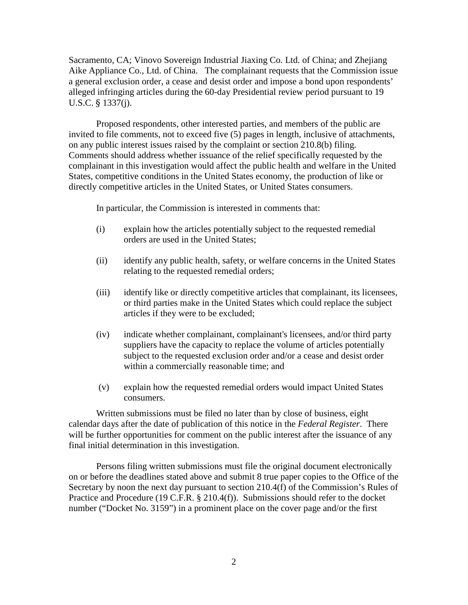Sacramento, CA; Vinovo Sovereign Industrial Jiaxing Co. Ltd. of China; and Zhejiang Aike Appliance Co., Ltd. of China. The complainant requests that the Commission issue a general exclusion order, a cease and desist order and impose a bond upon respondents' alleged infringing articles during the 60-day Presidential review period pursuant to 19 U.S.C. § 1337(j).

Proposed respondents, other interested parties, and members of the public are invited to file comments, not to exceed five (5) pages in length, inclusive of attachments, on any public interest issues raised by the complaint or section 210.8(b) filing. Comments should address whether issuance of the relief specifically requested by the complainant in this investigation would affect the public health and welfare in the United States, competitive conditions in the United States economy, the production of like or directly competitive articles in the United States, or United States consumers.

In particular, the Commission is interested in comments that:

- (i) explain how the articles potentially subject to the requested remedial orders are used in the United States;
- (ii) identify any public health, safety, or welfare concerns in the United States relating to the requested remedial orders;
- (iii) identify like or directly competitive articles that complainant, its licensees, or third parties make in the United States which could replace the subject articles if they were to be excluded;
- (iv) indicate whether complainant, complainant's licensees, and/or third party suppliers have the capacity to replace the volume of articles potentially subject to the requested exclusion order and/or a cease and desist order within a commercially reasonable time; and
- (v) explain how the requested remedial orders would impact United States consumers.

Written submissions must be filed no later than by close of business, eight calendar days after the date of publication of this notice in the *Federal Register*. There will be further opportunities for comment on the public interest after the issuance of any final initial determination in this investigation.

Persons filing written submissions must file the original document electronically on or before the deadlines stated above and submit 8 true paper copies to the Office of the Secretary by noon the next day pursuant to section 210.4(f) of the Commission's Rules of Practice and Procedure (19 C.F.R. § 210.4(f)). Submissions should refer to the docket number ("Docket No. 3159") in a prominent place on the cover page and/or the first